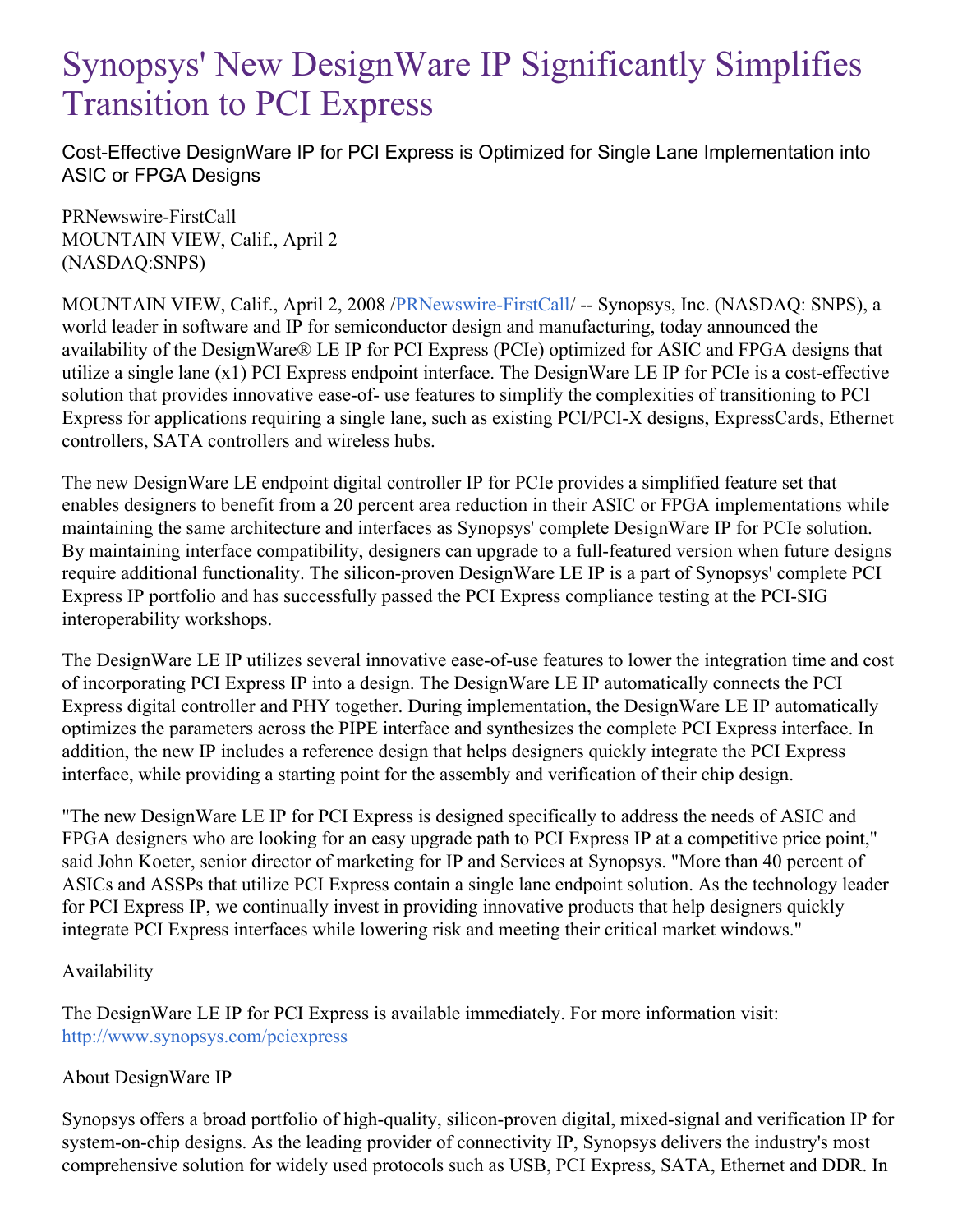## Synopsys' New DesignWare IP Significantly Simplifies Transition to PCI Express

Cost-Effective DesignWare IP for PCI Express is Optimized for Single Lane Implementation into ASIC or FPGA Designs

PRNewswire-FirstCall MOUNTAIN VIEW, Calif., April 2 (NASDAQ:SNPS)

MOUNTAIN VIEW, Calif., April 2, 2008 [/PRNewswire-FirstCall](http://www.prnewswire.com/)/ -- Synopsys, Inc. (NASDAQ: SNPS), a world leader in software and IP for semiconductor design and manufacturing, today announced the availability of the DesignWare® LE IP for PCI Express (PCIe) optimized for ASIC and FPGA designs that utilize a single lane (x1) PCI Express endpoint interface. The DesignWare LE IP for PCIe is a cost-effective solution that provides innovative ease-of- use features to simplify the complexities of transitioning to PCI Express for applications requiring a single lane, such as existing PCI/PCI-X designs, ExpressCards, Ethernet controllers, SATA controllers and wireless hubs.

The new DesignWare LE endpoint digital controller IP for PCIe provides a simplified feature set that enables designers to benefit from a 20 percent area reduction in their ASIC or FPGA implementations while maintaining the same architecture and interfaces as Synopsys' complete DesignWare IP for PCIe solution. By maintaining interface compatibility, designers can upgrade to a full-featured version when future designs require additional functionality. The silicon-proven DesignWare LE IP is a part of Synopsys' complete PCI Express IP portfolio and has successfully passed the PCI Express compliance testing at the PCI-SIG interoperability workshops.

The DesignWare LE IP utilizes several innovative ease-of-use features to lower the integration time and cost of incorporating PCI Express IP into a design. The DesignWare LE IP automatically connects the PCI Express digital controller and PHY together. During implementation, the DesignWare LE IP automatically optimizes the parameters across the PIPE interface and synthesizes the complete PCI Express interface. In addition, the new IP includes a reference design that helps designers quickly integrate the PCI Express interface, while providing a starting point for the assembly and verification of their chip design.

"The new DesignWare LE IP for PCI Express is designed specifically to address the needs of ASIC and FPGA designers who are looking for an easy upgrade path to PCI Express IP at a competitive price point," said John Koeter, senior director of marketing for IP and Services at Synopsys. "More than 40 percent of ASICs and ASSPs that utilize PCI Express contain a single lane endpoint solution. As the technology leader for PCI Express IP, we continually invest in providing innovative products that help designers quickly integrate PCI Express interfaces while lowering risk and meeting their critical market windows."

## Availability

The DesignWare LE IP for PCI Express is available immediately. For more information visit: <http://www.synopsys.com/pciexpress>

## About DesignWare IP

Synopsys offers a broad portfolio of high-quality, silicon-proven digital, mixed-signal and verification IP for system-on-chip designs. As the leading provider of connectivity IP, Synopsys delivers the industry's most comprehensive solution for widely used protocols such as USB, PCI Express, SATA, Ethernet and DDR. In